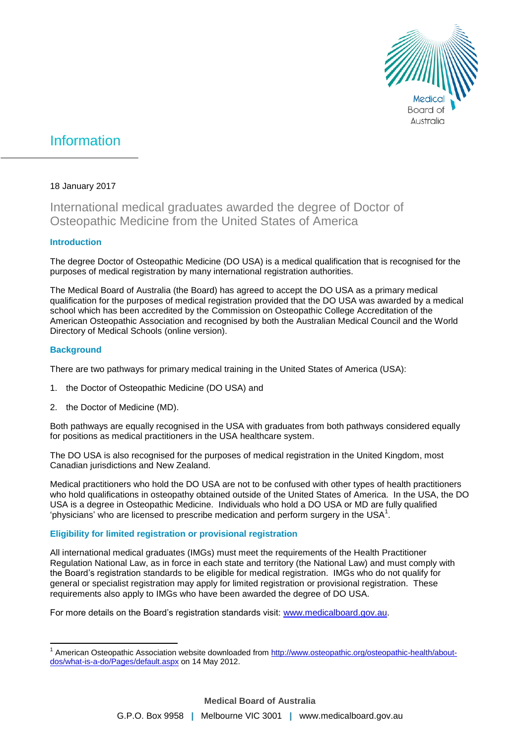

# Information

### 18 January 2017

## International medical graduates awarded the degree of Doctor of Osteopathic Medicine from the United States of America

#### **Introduction**

The degree Doctor of Osteopathic Medicine (DO USA) is a medical qualification that is recognised for the purposes of medical registration by many international registration authorities.

The Medical Board of Australia (the Board) has agreed to accept the DO USA as a primary medical qualification for the purposes of medical registration provided that the DO USA was awarded by a medical school which has been accredited by the Commission on Osteopathic College Accreditation of the American Osteopathic Association and recognised by both the Australian Medical Council and the World Directory of Medical Schools (online version).

#### **Background**

There are two pathways for primary medical training in the United States of America (USA):

- 1. the Doctor of Osteopathic Medicine (DO USA) and
- 2. the Doctor of Medicine (MD).

Both pathways are equally recognised in the USA with graduates from both pathways considered equally for positions as medical practitioners in the USA healthcare system.

The DO USA is also recognised for the purposes of medical registration in the United Kingdom, most Canadian jurisdictions and New Zealand.

Medical practitioners who hold the DO USA are not to be confused with other types of health practitioners who hold qualifications in osteopathy obtained outside of the United States of America. In the USA, the DO USA is a degree in Osteopathic Medicine. Individuals who hold a DO USA or MD are fully qualified 'physicians' who are licensed to prescribe medication and perform surgery in the USA $^1$ .

#### **Eligibility for limited registration or provisional registration**

All international medical graduates (IMGs) must meet the requirements of the Health Practitioner Regulation National Law, as in force in each state and territory (the National Law) and must comply with the Board's registration standards to be eligible for medical registration. IMGs who do not qualify for general or specialist registration may apply for limited registration or provisional registration. These requirements also apply to IMGs who have been awarded the degree of DO USA.

For more details on the Board's registration standards visit: [www.medicalboard.gov.au.](http://www.medicalboard.gov.au/)

 $\overline{a}$ 1 American Osteopathic Association website downloaded fro[m http://www.osteopathic.org/osteopathic-health/about](http://www.osteopathic.org/osteopathic-health/about-dos/what-is-a-do/Pages/default.aspx)[dos/what-is-a-do/Pages/default.aspx](http://www.osteopathic.org/osteopathic-health/about-dos/what-is-a-do/Pages/default.aspx) on 14 May 2012.